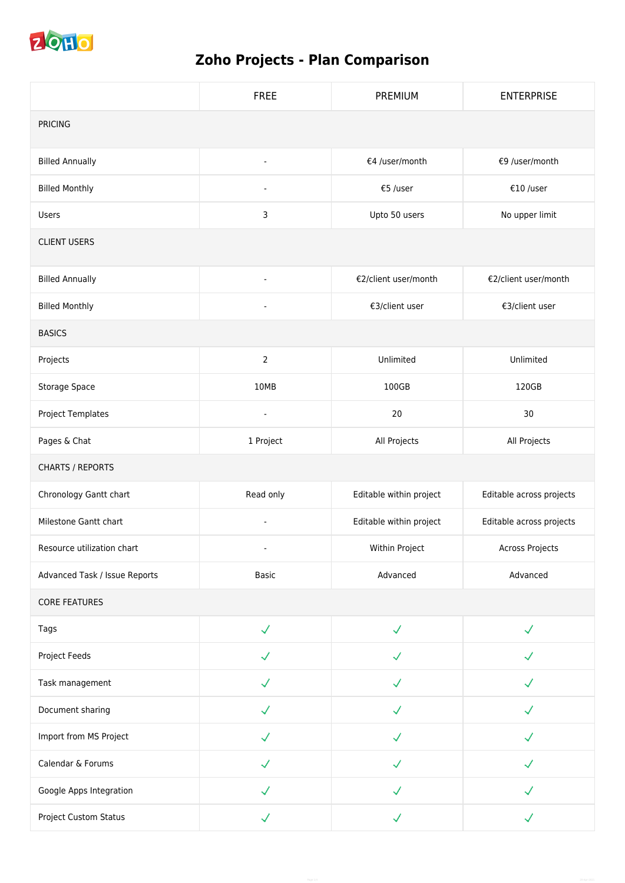

## **Zoho Projects - Plan Comparison**

|                               | <b>FREE</b>              | PREMIUM                 | <b>ENTERPRISE</b>        |  |  |
|-------------------------------|--------------------------|-------------------------|--------------------------|--|--|
| <b>PRICING</b>                |                          |                         |                          |  |  |
| <b>Billed Annually</b>        | $\blacksquare$           | €4 /user/month          | €9 /user/month           |  |  |
| <b>Billed Monthly</b>         | $\blacksquare$           | €5 /user                | €10 /user                |  |  |
| <b>Users</b>                  | 3                        | Upto 50 users           | No upper limit           |  |  |
| <b>CLIENT USERS</b>           |                          |                         |                          |  |  |
| <b>Billed Annually</b>        | $\overline{\phantom{a}}$ | €2/client user/month    | €2/client user/month     |  |  |
| <b>Billed Monthly</b>         | $\overline{\phantom{a}}$ | €3/client user          | €3/client user           |  |  |
| <b>BASICS</b>                 |                          |                         |                          |  |  |
| Projects                      | $\overline{2}$           | Unlimited               | Unlimited                |  |  |
| Storage Space                 | 10MB                     | 100GB                   | 120GB                    |  |  |
| Project Templates             | $\blacksquare$           | 20                      | 30                       |  |  |
| Pages & Chat                  | 1 Project                | All Projects            | All Projects             |  |  |
| <b>CHARTS / REPORTS</b>       |                          |                         |                          |  |  |
| Chronology Gantt chart        | Read only                | Editable within project | Editable across projects |  |  |
| Milestone Gantt chart         | $\overline{\phantom{a}}$ | Editable within project | Editable across projects |  |  |
| Resource utilization chart    | $\blacksquare$           | Within Project          | Across Projects          |  |  |
| Advanced Task / Issue Reports | <b>Basic</b>             | Advanced                | Advanced                 |  |  |
| <b>CORE FEATURES</b>          |                          |                         |                          |  |  |
| Tags                          | $\checkmark$             | $\checkmark$            |                          |  |  |
| Project Feeds                 | $\checkmark$             | J                       |                          |  |  |
| Task management               | $\checkmark$             | $\checkmark$            |                          |  |  |
| Document sharing              | $\checkmark$             | $\checkmark$            |                          |  |  |
| Import from MS Project        | $\checkmark$             | $\checkmark$            |                          |  |  |
| Calendar & Forums             | $\checkmark$             | $\checkmark$            | $\mathcal{L}$            |  |  |
| Google Apps Integration       | J                        | ✓                       |                          |  |  |
| Project Custom Status         | $\checkmark$             | $\checkmark$            |                          |  |  |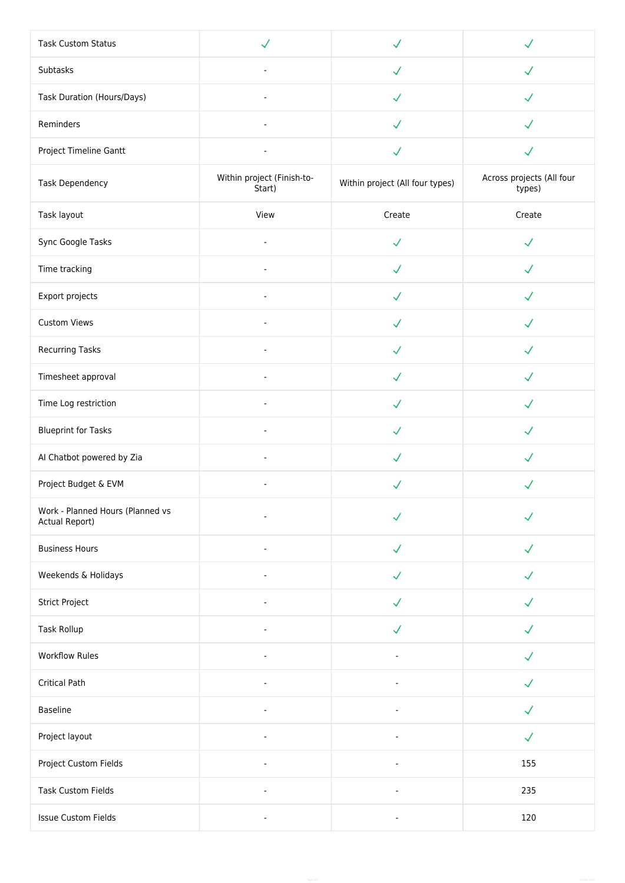| <b>Task Custom Status</b>                          | $\checkmark$                         | $\checkmark$                    |                                     |
|----------------------------------------------------|--------------------------------------|---------------------------------|-------------------------------------|
| Subtasks                                           | $\blacksquare$                       | $\checkmark$                    | J                                   |
| Task Duration (Hours/Days)                         | $\overline{a}$                       | $\checkmark$                    | $\checkmark$                        |
| Reminders                                          | $\overline{a}$                       | $\checkmark$                    |                                     |
| Project Timeline Gantt                             | $\blacksquare$                       | $\checkmark$                    | $\checkmark$                        |
| Task Dependency                                    | Within project (Finish-to-<br>Start) | Within project (All four types) | Across projects (All four<br>types) |
| Task layout                                        | View                                 | Create                          | Create                              |
| Sync Google Tasks                                  | $\blacksquare$                       | $\checkmark$                    | $\checkmark$                        |
| Time tracking                                      | $\blacksquare$                       | $\checkmark$                    |                                     |
| Export projects                                    | $\blacksquare$                       | $\checkmark$                    | ✓                                   |
| Custom Views                                       | $\overline{\phantom{a}}$             | $\checkmark$                    | J                                   |
| Recurring Tasks                                    | ä,                                   | $\checkmark$                    |                                     |
| Timesheet approval                                 |                                      | $\checkmark$                    |                                     |
| Time Log restriction                               | $\sim$                               | $\checkmark$                    |                                     |
| <b>Blueprint for Tasks</b>                         | $\sim$                               | $\checkmark$                    | $\checkmark$                        |
| Al Chatbot powered by Zia                          | $\blacksquare$                       | $\checkmark$                    | J                                   |
| Project Budget & EVM                               | $\overline{\phantom{a}}$             | $\checkmark$                    |                                     |
| Work - Planned Hours (Planned vs<br>Actual Report) | $\blacksquare$                       | $\checkmark$                    |                                     |
| <b>Business Hours</b>                              | ÷.                                   | $\checkmark$                    |                                     |
| Weekends & Holidays                                | $\blacksquare$                       | $\checkmark$                    | $\checkmark$                        |
| Strict Project                                     | $\blacksquare$                       | $\checkmark$                    |                                     |
| Task Rollup                                        | $\blacksquare$                       | $\checkmark$                    | J                                   |
| <b>Workflow Rules</b>                              | $\overline{a}$                       |                                 | J                                   |
| <b>Critical Path</b>                               | ÷                                    |                                 |                                     |
| <b>Baseline</b>                                    |                                      |                                 |                                     |
| Project layout                                     |                                      |                                 | $\checkmark$                        |
| Project Custom Fields                              | $\overline{\phantom{a}}$             | ÷,                              | 155                                 |
| <b>Task Custom Fields</b>                          | $\blacksquare$                       | $\blacksquare$                  | 235                                 |
| <b>Issue Custom Fields</b>                         | $\overline{\phantom{a}}$             | $\qquad \qquad \blacksquare$    | 120                                 |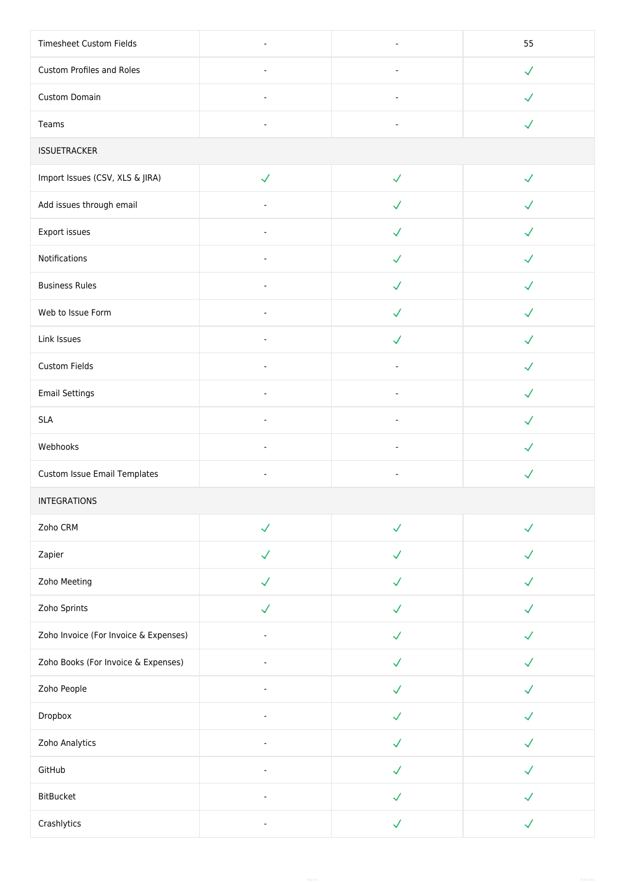| Timesheet Custom Fields               | $\blacksquare$ | $\overline{\phantom{a}}$ | 55           |  |
|---------------------------------------|----------------|--------------------------|--------------|--|
| Custom Profiles and Roles             | $\blacksquare$ | $\omega$                 | $\checkmark$ |  |
| Custom Domain                         | $\blacksquare$ | $\blacksquare$           | $\checkmark$ |  |
| Teams                                 | $\blacksquare$ | ä,                       | $\checkmark$ |  |
| <b>ISSUETRACKER</b>                   |                |                          |              |  |
| Import Issues (CSV, XLS & JIRA)       | $\checkmark$   | $\checkmark$             | $\checkmark$ |  |
| Add issues through email              | $\blacksquare$ | $\checkmark$             |              |  |
| Export issues                         | $\blacksquare$ | $\checkmark$             | $\checkmark$ |  |
| Notifications                         | $\blacksquare$ | $\checkmark$             | J            |  |
| <b>Business Rules</b>                 | ä,             | $\checkmark$             | J            |  |
| Web to Issue Form                     |                | $\checkmark$             | $\checkmark$ |  |
| Link Issues                           |                | $\checkmark$             | $\checkmark$ |  |
| Custom Fields                         | $\blacksquare$ | L,                       | $\checkmark$ |  |
| <b>Email Settings</b>                 | $\blacksquare$ | $\blacksquare$           | $\checkmark$ |  |
| <b>SLA</b>                            | $\blacksquare$ | $\blacksquare$           | $\checkmark$ |  |
| Webhooks                              | $\blacksquare$ | $\blacksquare$           | ✓            |  |
| Custom Issue Email Templates          | ä,             | $\blacksquare$           | $\checkmark$ |  |
| INTEGRATIONS                          |                |                          |              |  |
| Zoho CRM                              | $\checkmark$   | $\checkmark$             | $\checkmark$ |  |
| Zapier                                | $\checkmark$   | $\checkmark$             | $\checkmark$ |  |
| Zoho Meeting                          | $\checkmark$   | $\checkmark$             | $\checkmark$ |  |
| Zoho Sprints                          | $\checkmark$   | $\checkmark$             | $\checkmark$ |  |
| Zoho Invoice (For Invoice & Expenses) |                | $\checkmark$             |              |  |
| Zoho Books (For Invoice & Expenses)   | ÷,             | $\checkmark$             | $\checkmark$ |  |
| Zoho People                           | $\blacksquare$ | $\checkmark$             |              |  |
| Dropbox                               | $\blacksquare$ | $\checkmark$             | ✓            |  |
| Zoho Analytics                        | $\blacksquare$ | $\checkmark$             | J            |  |
| GitHub                                | $\overline{a}$ | $\checkmark$             | $\checkmark$ |  |
| <b>BitBucket</b>                      |                | $\checkmark$             |              |  |
| Crashlytics                           | ä,             | $\checkmark$             | $\checkmark$ |  |